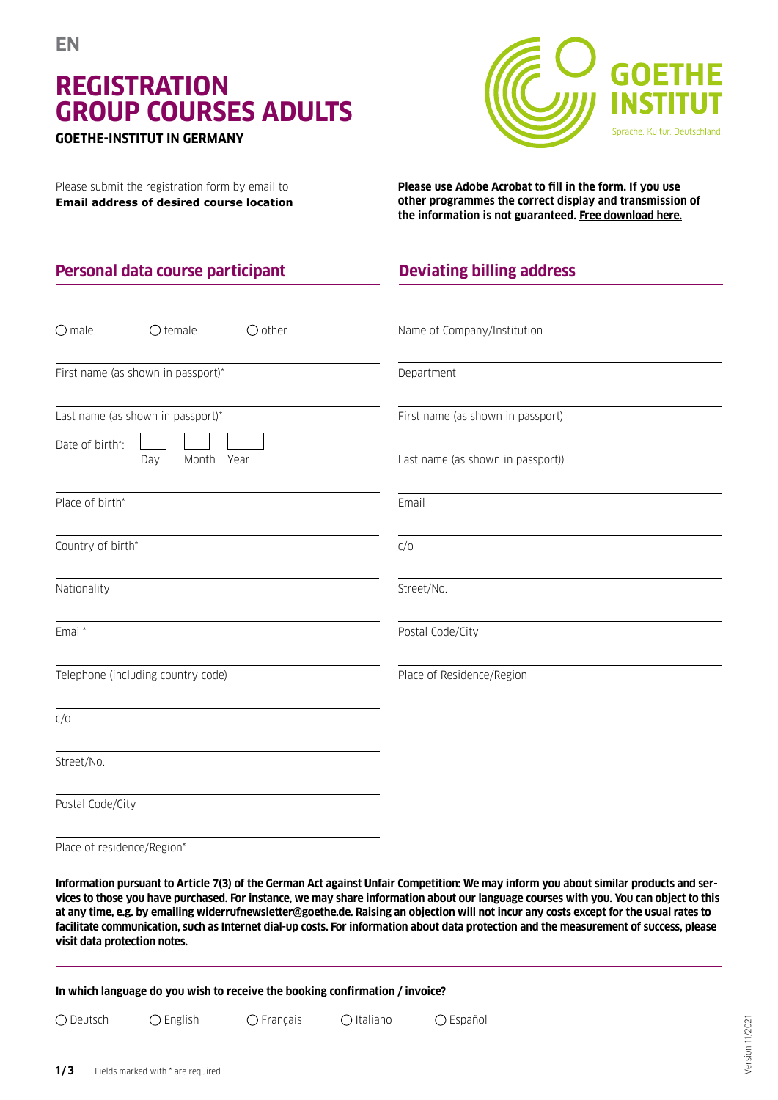# **REGISTRATION GROUP COURSES ADULTS**

#### **GOETHE-INSTITUT IN GERMANY**

Please submit the registration form by email to **Email address of desired course location**

**Personal data course participant**



**Please use Adobe Acrobat to fill in the form. If you use other programmes the correct display and transmission of the information is not guaranteed. Free download here.**

## **Deviating billing address**

| $O$ male<br>$\bigcirc$ female<br>$\bigcirc$ other    | Name of Company/Institution       |
|------------------------------------------------------|-----------------------------------|
| First name (as shown in passport)*                   | Department                        |
| Last name (as shown in passport)*<br>Date of birth*: | First name (as shown in passport) |
| Month<br>Year<br>Day                                 | Last name (as shown in passport)) |
| Place of birth*                                      | Email                             |
| Country of birth*                                    | C/O                               |
| Nationality                                          | Street/No.                        |
| Email*                                               | Postal Code/City                  |
| Telephone (including country code)                   | Place of Residence/Region         |
| C/O                                                  |                                   |
| Street/No.                                           |                                   |
| Postal Code/City                                     |                                   |

Place of residence/Region\*

**Information pursuant to Article 7(3) of the German Act against Unfair Competition: We may inform you about similar products and services to those you have purchased. For instance, we may share information about our language courses with you. You can object to this at any time, e.g. by emailing widerrufnewsletter@goethe.de. Raising an objection will not incur any costs except for the usual rates to facilitate communication, such as Internet dial-up costs. For information about data protection and the measurement of success, please visit data protection notes.**

**In which language do you wish to receive the booking confirmation / invoice?**

Deutsch English Français Italiano Español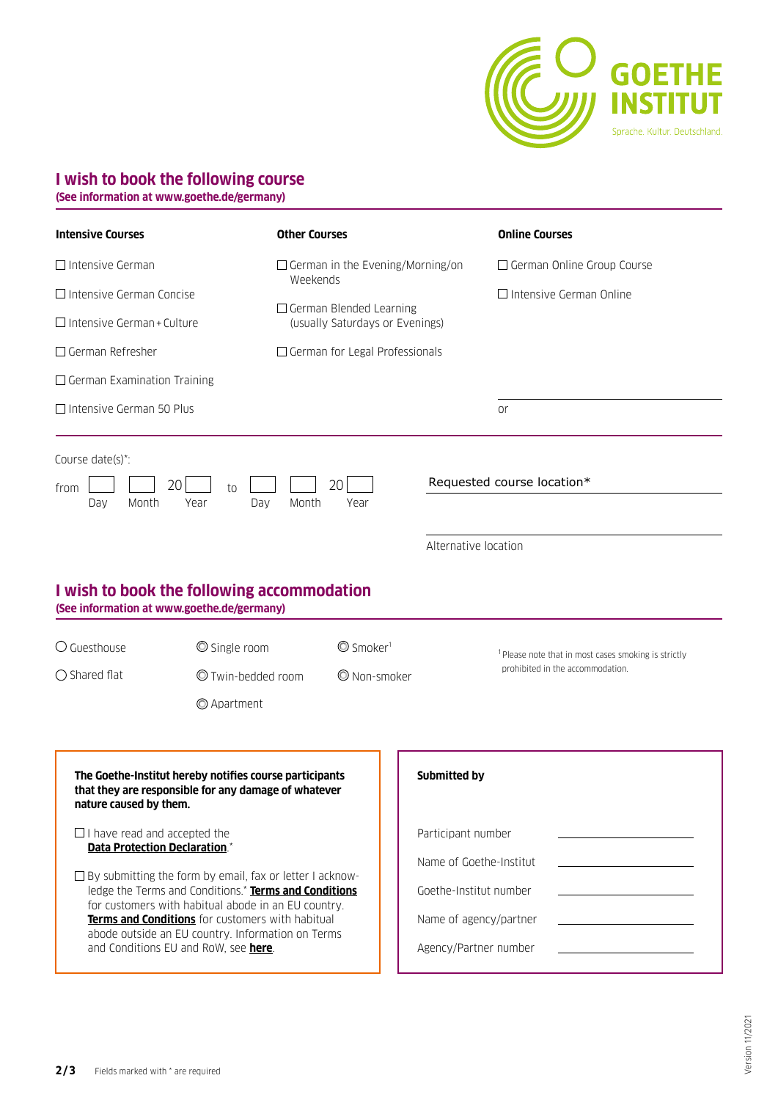

#### **I wish to book the following course**

**(See information at www.goethe.de/germany)**

| <b>Intensive Courses</b>                                                                                                                                                                                                                                                                                                            | <b>Other Courses</b>                                                                                                                                                                                                  |                                                                                                                          |                                                                                                                                            | <b>Online Courses</b>                                               |
|-------------------------------------------------------------------------------------------------------------------------------------------------------------------------------------------------------------------------------------------------------------------------------------------------------------------------------------|-----------------------------------------------------------------------------------------------------------------------------------------------------------------------------------------------------------------------|--------------------------------------------------------------------------------------------------------------------------|--------------------------------------------------------------------------------------------------------------------------------------------|---------------------------------------------------------------------|
| $\Box$ Intensive German<br>$\Box$ Intensive German Concise<br>$\Box$ Intensive German + Culture                                                                                                                                                                                                                                     |                                                                                                                                                                                                                       | $\Box$ German in the Evening/Morning/on<br>Weekends<br>$\Box$ German Blended Learning<br>(usually Saturdays or Evenings) |                                                                                                                                            | $\Box$ German Online Group Course<br>$\Box$ Intensive German Online |
| $\Box$ German Refresher<br>$\Box$ German Examination Training                                                                                                                                                                                                                                                                       |                                                                                                                                                                                                                       | $\Box$ German for Legal Professionals                                                                                    |                                                                                                                                            |                                                                     |
| $\Box$ Intensive German 50 Plus<br>Course date(s)*:<br>20 <sup>1</sup><br>from<br>Month<br>Day<br>Year                                                                                                                                                                                                                              | to<br>Month<br>Day                                                                                                                                                                                                    | 20<br>Year                                                                                                               |                                                                                                                                            | <b>or</b><br>Requested course location*                             |
| I wish to book the following accommodation<br>(See information at www.goethe.de/germany)<br>$\bigcirc$ Guesthouse                                                                                                                                                                                                                   | Single room                                                                                                                                                                                                           | $\mathbb{O}$ Smoker <sup>1</sup>                                                                                         | Alternative location                                                                                                                       | <sup>1</sup> Please note that in most cases smoking is strictly     |
| $\bigcirc$ Shared flat                                                                                                                                                                                                                                                                                                              | $\odot$ Twin-bedded room<br>© Apartment                                                                                                                                                                               | © Non-smoker                                                                                                             |                                                                                                                                            | prohibited in the accommodation.                                    |
| The Goethe-Institut hereby notifies course participants<br>that they are responsible for any damage of whatever<br>nature caused by them.<br>$\Box$ I have read and accepted the<br><b>Data Protection Declaration.*</b><br>$\Box$ By submitting the form by email, fax or letter I acknow-<br>and Conditions EU and RoW, see here. | ledge the Terms and Conditions.* Terms and Conditions<br>for customers with habitual abode in an EU country.<br>Terms and Conditions for customers with habitual<br>abode outside an EU country. Information on Terms |                                                                                                                          | Submitted by<br>Participant number<br>Name of Goethe-Institut<br>Goethe-Institut number<br>Name of agency/partner<br>Agency/Partner number |                                                                     |